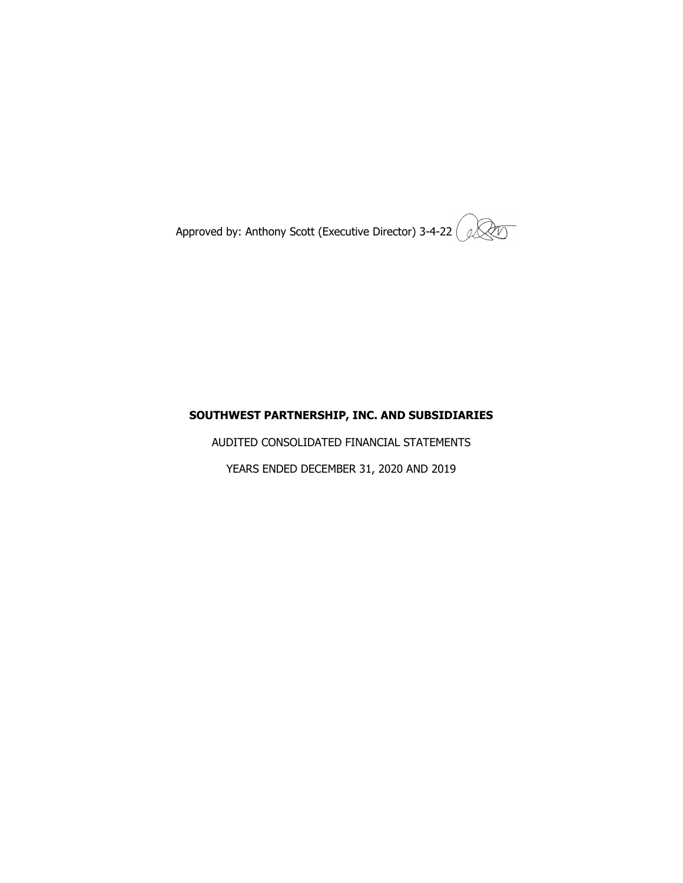Approved by: Anthony Scott (Executive Director) 3-4-22  $\left( \sqrt[3]{2}\right)$ 

## **SOUTHWEST PARTNERSHIP, INC. AND SUBSIDIARIES**

AUDITED CONSOLIDATED FINANCIAL STATEMENTS YEARS ENDED DECEMBER 31, 2020 AND 2019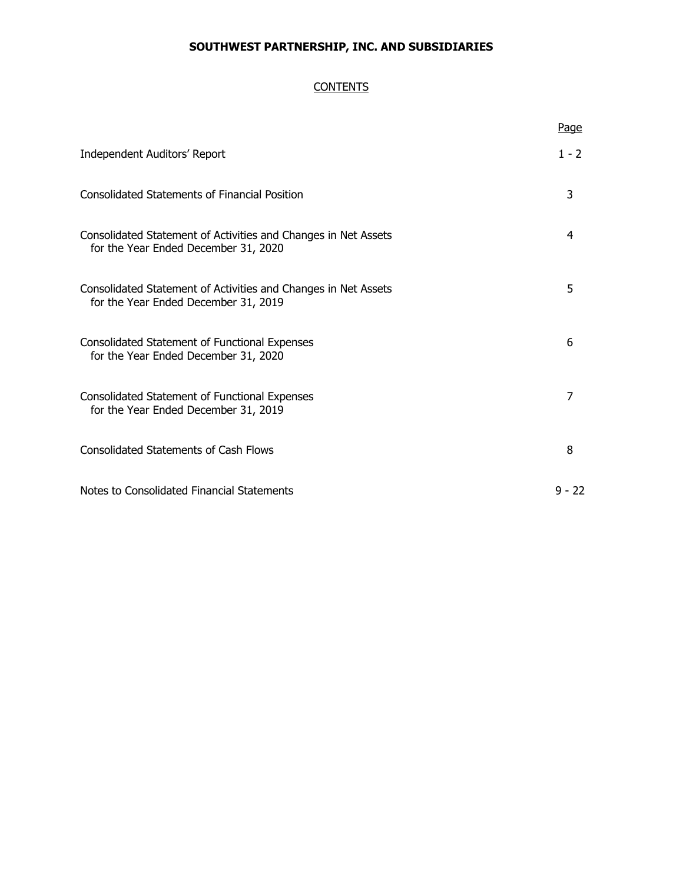## **CONTENTS**

|                                                                                                        | Page     |
|--------------------------------------------------------------------------------------------------------|----------|
| Independent Auditors' Report                                                                           | $1 - 2$  |
| <b>Consolidated Statements of Financial Position</b>                                                   | 3        |
| Consolidated Statement of Activities and Changes in Net Assets<br>for the Year Ended December 31, 2020 | 4        |
| Consolidated Statement of Activities and Changes in Net Assets<br>for the Year Ended December 31, 2019 | 5        |
| <b>Consolidated Statement of Functional Expenses</b><br>for the Year Ended December 31, 2020           | 6        |
| Consolidated Statement of Functional Expenses<br>for the Year Ended December 31, 2019                  | 7        |
| <b>Consolidated Statements of Cash Flows</b>                                                           | 8        |
| Notes to Consolidated Financial Statements                                                             | $9 - 22$ |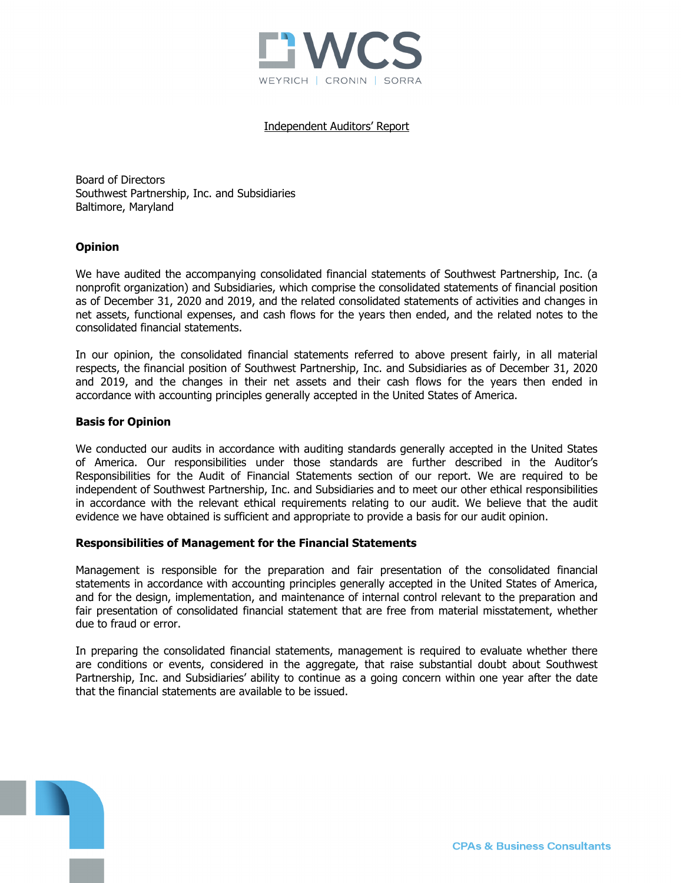

#### Independent Auditors' Report

Board of Directors Southwest Partnership, Inc. and Subsidiaries Baltimore, Maryland

#### **Opinion**

We have audited the accompanying consolidated financial statements of Southwest Partnership, Inc. (a nonprofit organization) and Subsidiaries, which comprise the consolidated statements of financial position as of December 31, 2020 and 2019, and the related consolidated statements of activities and changes in net assets, functional expenses, and cash flows for the years then ended, and the related notes to the consolidated financial statements.

In our opinion, the consolidated financial statements referred to above present fairly, in all material respects, the financial position of Southwest Partnership, Inc. and Subsidiaries as of December 31, 2020 and 2019, and the changes in their net assets and their cash flows for the years then ended in accordance with accounting principles generally accepted in the United States of America.

#### **Basis for Opinion**

We conducted our audits in accordance with auditing standards generally accepted in the United States of America. Our responsibilities under those standards are further described in the Auditor's Responsibilities for the Audit of Financial Statements section of our report. We are required to be independent of Southwest Partnership, Inc. and Subsidiaries and to meet our other ethical responsibilities in accordance with the relevant ethical requirements relating to our audit. We believe that the audit evidence we have obtained is sufficient and appropriate to provide a basis for our audit opinion.

#### **Responsibilities of Management for the Financial Statements**

Management is responsible for the preparation and fair presentation of the consolidated financial statements in accordance with accounting principles generally accepted in the United States of America, and for the design, implementation, and maintenance of internal control relevant to the preparation and fair presentation of consolidated financial statement that are free from material misstatement, whether due to fraud or error.

In preparing the consolidated financial statements, management is required to evaluate whether there are conditions or events, considered in the aggregate, that raise substantial doubt about Southwest Partnership, Inc. and Subsidiaries' ability to continue as a going concern within one year after the date that the financial statements are available to be issued.

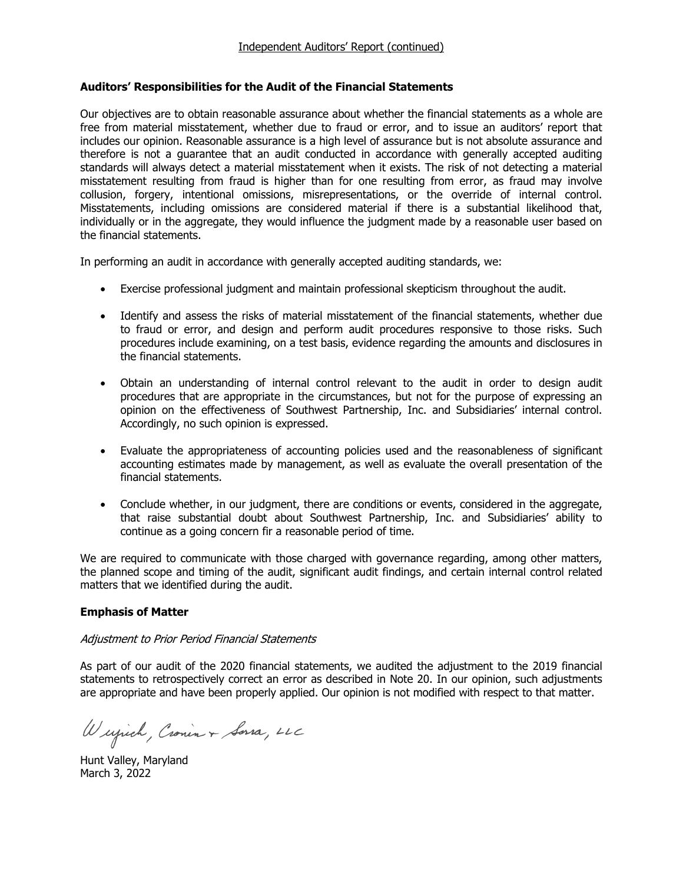### **Auditors' Responsibilities for the Audit of the Financial Statements**

Our objectives are to obtain reasonable assurance about whether the financial statements as a whole are free from material misstatement, whether due to fraud or error, and to issue an auditors' report that includes our opinion. Reasonable assurance is a high level of assurance but is not absolute assurance and therefore is not a guarantee that an audit conducted in accordance with generally accepted auditing standards will always detect a material misstatement when it exists. The risk of not detecting a material misstatement resulting from fraud is higher than for one resulting from error, as fraud may involve collusion, forgery, intentional omissions, misrepresentations, or the override of internal control. Misstatements, including omissions are considered material if there is a substantial likelihood that, individually or in the aggregate, they would influence the judgment made by a reasonable user based on the financial statements.

In performing an audit in accordance with generally accepted auditing standards, we:

- Exercise professional judgment and maintain professional skepticism throughout the audit.
- Identify and assess the risks of material misstatement of the financial statements, whether due to fraud or error, and design and perform audit procedures responsive to those risks. Such procedures include examining, on a test basis, evidence regarding the amounts and disclosures in the financial statements.
- Obtain an understanding of internal control relevant to the audit in order to design audit procedures that are appropriate in the circumstances, but not for the purpose of expressing an opinion on the effectiveness of Southwest Partnership, Inc. and Subsidiaries' internal control. Accordingly, no such opinion is expressed.
- Evaluate the appropriateness of accounting policies used and the reasonableness of significant accounting estimates made by management, as well as evaluate the overall presentation of the financial statements.
- Conclude whether, in our judgment, there are conditions or events, considered in the aggregate, that raise substantial doubt about Southwest Partnership, Inc. and Subsidiaries' ability to continue as a going concern fir a reasonable period of time.

We are required to communicate with those charged with governance regarding, among other matters, the planned scope and timing of the audit, significant audit findings, and certain internal control related matters that we identified during the audit.

## **Emphasis of Matter**

#### Adjustment to Prior Period Financial Statements

As part of our audit of the 2020 financial statements, we audited the adjustment to the 2019 financial statements to retrospectively correct an error as described in Note 20. In our opinion, such adjustments are appropriate and have been properly applied. Our opinion is not modified with respect to that matter.

Wujich, Cronin + Sorra, LLC

Hunt Valley, Maryland March 3, 2022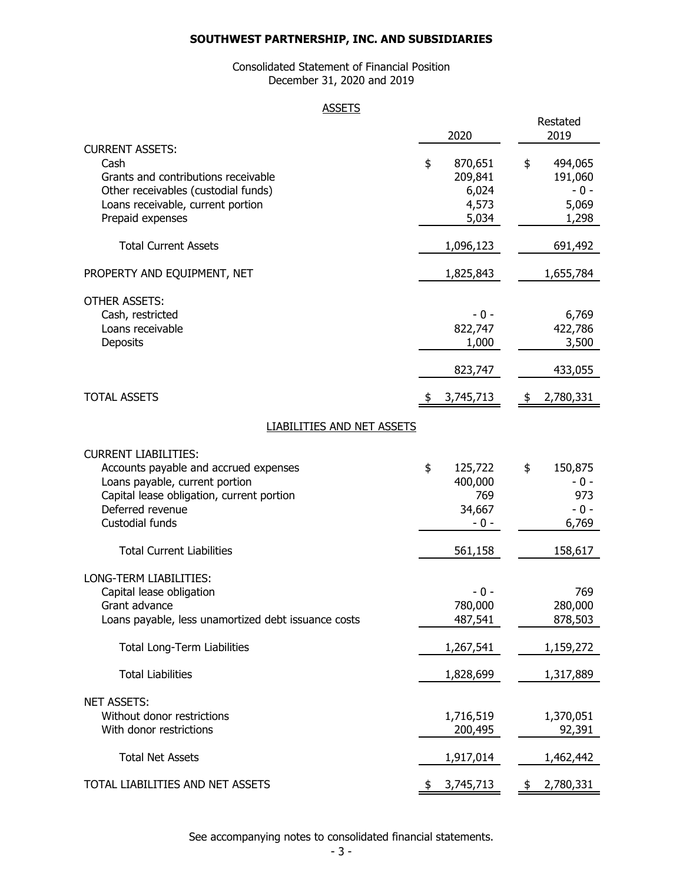## Consolidated Statement of Financial Position December 31, 2020 and 2019

### **ASSETS**

|                                                                          | 2020             | Restated<br>2019 |
|--------------------------------------------------------------------------|------------------|------------------|
| <b>CURRENT ASSETS:</b>                                                   |                  |                  |
| Cash                                                                     | \$<br>870,651    | 494,065<br>\$    |
| Grants and contributions receivable                                      | 209,841<br>6,024 | 191,060<br>$-0-$ |
| Other receivables (custodial funds)<br>Loans receivable, current portion | 4,573            | 5,069            |
| Prepaid expenses                                                         | 5,034            | 1,298            |
| <b>Total Current Assets</b>                                              | 1,096,123        | 691,492          |
| PROPERTY AND EQUIPMENT, NET                                              | 1,825,843        | 1,655,784        |
| <b>OTHER ASSETS:</b>                                                     |                  |                  |
| Cash, restricted                                                         | - 0 -            | 6,769            |
| Loans receivable                                                         | 822,747          | 422,786          |
| Deposits                                                                 | 1,000            | 3,500            |
|                                                                          | 823,747          | 433,055          |
| <b>TOTAL ASSETS</b>                                                      | 3,745,713        | 2,780,331<br>\$  |
| <b>LIABILITIES AND NET ASSETS</b>                                        |                  |                  |
| <b>CURRENT LIABILITIES:</b>                                              |                  |                  |
| Accounts payable and accrued expenses                                    | \$<br>125,722    | 150,875<br>\$    |
| Loans payable, current portion                                           | 400,000          | - 0 -            |
| Capital lease obligation, current portion                                | 769              | 973              |
| Deferred revenue                                                         | 34,667           | $-0-$            |
| Custodial funds                                                          | - 0 -            | 6,769            |
| <b>Total Current Liabilities</b>                                         | 561,158          | 158,617          |
| LONG-TERM LIABILITIES:                                                   |                  |                  |
| Capital lease obligation                                                 | - 0 -            | 769              |
| Grant advance                                                            | 780,000          | 280,000          |
| Loans payable, less unamortized debt issuance costs                      | 487,541          | 878,503          |
| <b>Total Long-Term Liabilities</b>                                       | 1,267,541        | 1,159,272        |
| <b>Total Liabilities</b>                                                 | 1,828,699        | 1,317,889        |
| <b>NET ASSETS:</b>                                                       |                  |                  |
| Without donor restrictions                                               | 1,716,519        | 1,370,051        |
| With donor restrictions                                                  | 200,495          | 92,391           |
| <b>Total Net Assets</b>                                                  | 1,917,014        | 1,462,442        |
| TOTAL LIABILITIES AND NET ASSETS                                         | 3,745,713<br>\$  | 2,780,331<br>\$  |

See accompanying notes to consolidated financial statements.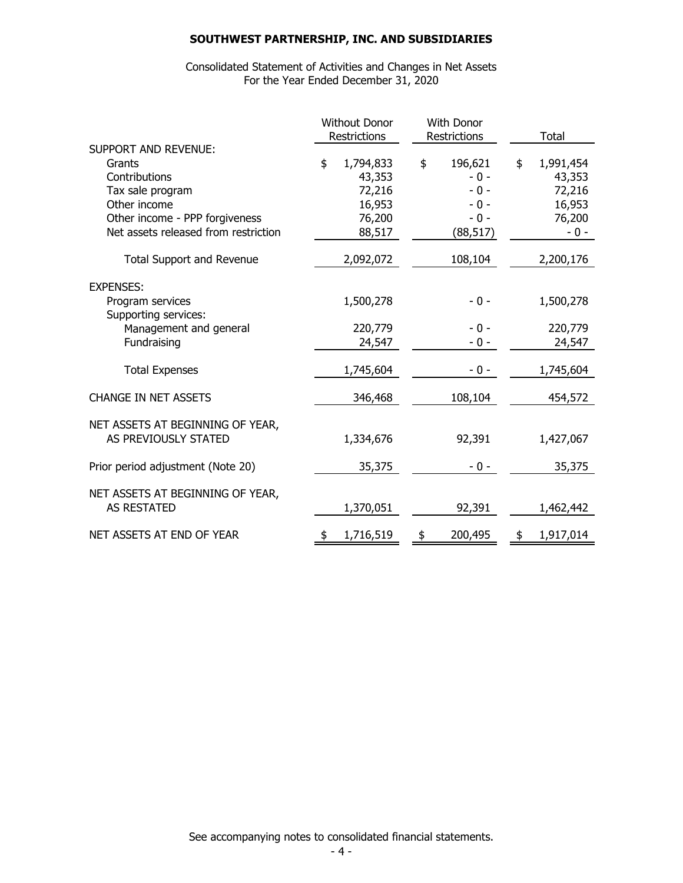Consolidated Statement of Activities and Changes in Net Assets For the Year Ended December 31, 2020

|                                          | <b>Without Donor</b> |           | With Donor<br>Restrictions<br>Restrictions |           | Total           |
|------------------------------------------|----------------------|-----------|--------------------------------------------|-----------|-----------------|
| <b>SUPPORT AND REVENUE:</b>              |                      |           |                                            |           |                 |
| Grants                                   | \$                   | 1,794,833 | \$                                         | 196,621   | \$<br>1,991,454 |
| Contributions                            |                      | 43,353    |                                            | $-0 -$    | 43,353          |
| Tax sale program                         |                      | 72,216    |                                            | $-0 -$    | 72,216          |
| Other income                             |                      | 16,953    |                                            | $-0-$     | 16,953          |
| Other income - PPP forgiveness           |                      | 76,200    |                                            | $-0 -$    | 76,200          |
| Net assets released from restriction     |                      | 88,517    |                                            | (88, 517) | - 0 -           |
| <b>Total Support and Revenue</b>         |                      | 2,092,072 |                                            | 108,104   | 2,200,176       |
| <b>EXPENSES:</b>                         |                      |           |                                            |           |                 |
| Program services<br>Supporting services: |                      | 1,500,278 |                                            | $-0 -$    | 1,500,278       |
| Management and general                   |                      | 220,779   |                                            | $-0 -$    | 220,779         |
| Fundraising                              |                      | 24,547    |                                            | $-0-$     | 24,547          |
| <b>Total Expenses</b>                    |                      | 1,745,604 |                                            | $-0 -$    | 1,745,604       |
| <b>CHANGE IN NET ASSETS</b>              |                      | 346,468   |                                            | 108,104   | 454,572         |
| NET ASSETS AT BEGINNING OF YEAR,         |                      |           |                                            |           |                 |
| AS PREVIOUSLY STATED                     |                      | 1,334,676 |                                            | 92,391    | 1,427,067       |
| Prior period adjustment (Note 20)        |                      | 35,375    |                                            | $-0 -$    | 35,375          |
| NET ASSETS AT BEGINNING OF YEAR,         |                      |           |                                            |           |                 |
| <b>AS RESTATED</b>                       |                      | 1,370,051 |                                            | 92,391    | 1,462,442       |
| NET ASSETS AT END OF YEAR                | \$                   | 1,716,519 | \$                                         | 200,495   | \$<br>1,917,014 |

See accompanying notes to consolidated financial statements.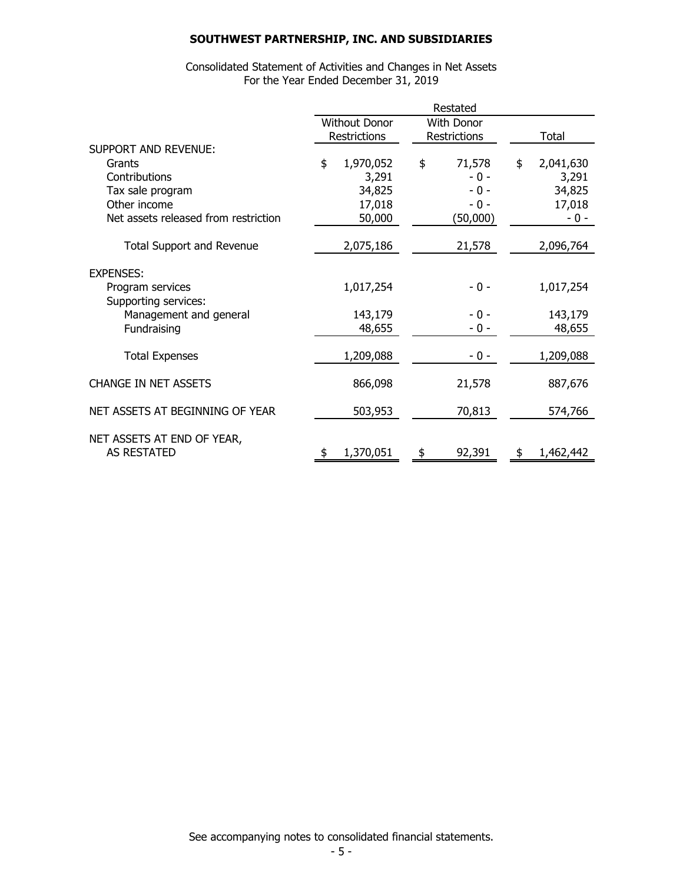Consolidated Statement of Activities and Changes in Net Assets For the Year Ended December 31, 2019

|                                      | Restated |                      |    |              |    |           |
|--------------------------------------|----------|----------------------|----|--------------|----|-----------|
|                                      |          | <b>Without Donor</b> |    | With Donor   |    |           |
|                                      |          | Restrictions         |    | Restrictions |    | Total     |
| <b>SUPPORT AND REVENUE:</b>          |          |                      |    |              |    |           |
| Grants                               | \$       | 1,970,052            | \$ | 71,578       | \$ | 2,041,630 |
| Contributions                        |          | 3,291                |    | $-0 -$       |    | 3,291     |
| Tax sale program                     |          | 34,825               |    | $-0 -$       |    | 34,825    |
| Other income                         |          | 17,018               |    | $-0 -$       |    | 17,018    |
| Net assets released from restriction |          | 50,000               |    | (50,000)     |    | $-0 -$    |
| <b>Total Support and Revenue</b>     |          | 2,075,186            |    | 21,578       |    | 2,096,764 |
| <b>EXPENSES:</b>                     |          |                      |    |              |    |           |
| Program services                     |          | 1,017,254            |    | - 0 -        |    | 1,017,254 |
| Supporting services:                 |          |                      |    |              |    |           |
| Management and general               |          | 143,179              |    | - 0 -        |    | 143,179   |
| Fundraising                          |          | 48,655               |    | $-0 -$       |    | 48,655    |
| <b>Total Expenses</b>                |          | 1,209,088            |    | - 0 -        |    | 1,209,088 |
| <b>CHANGE IN NET ASSETS</b>          |          | 866,098              |    | 21,578       |    | 887,676   |
|                                      |          |                      |    |              |    |           |
| NET ASSETS AT BEGINNING OF YEAR      |          | 503,953              |    | 70,813       |    | 574,766   |
| NET ASSETS AT END OF YEAR,           |          |                      |    |              |    |           |
| <b>AS RESTATED</b>                   | \$       | 1,370,051            | \$ | 92,391       | \$ | 1,462,442 |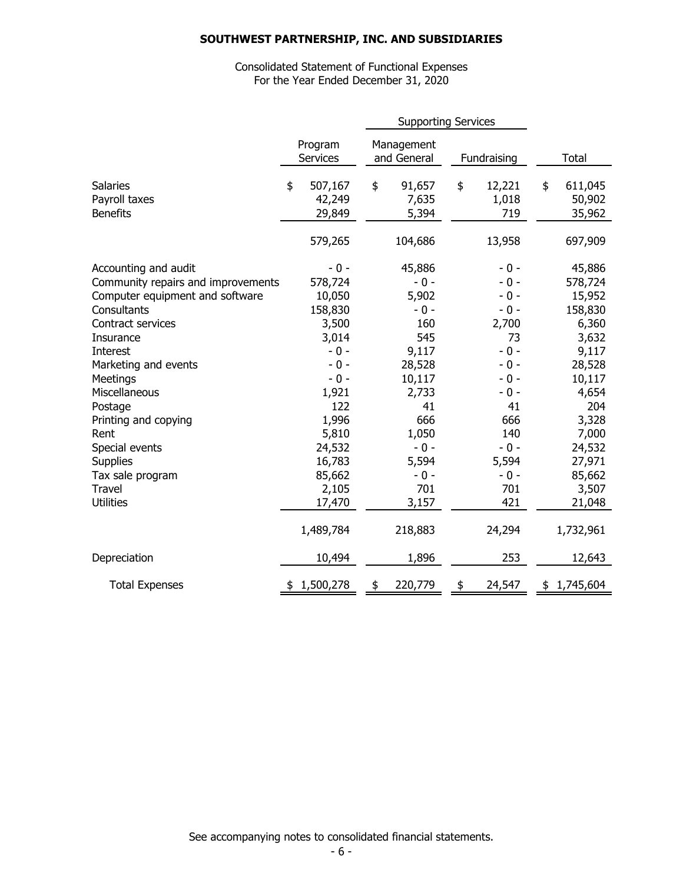## Consolidated Statement of Functional Expenses For the Year Ended December 31, 2020

|                                                                                                                                                                                                                                                                                                                               | <b>Supporting Services</b>                                                                                                                                      |    |                                                                                                                                                  |    |                                                                                                                                               |                                                                                                                                                                |
|-------------------------------------------------------------------------------------------------------------------------------------------------------------------------------------------------------------------------------------------------------------------------------------------------------------------------------|-----------------------------------------------------------------------------------------------------------------------------------------------------------------|----|--------------------------------------------------------------------------------------------------------------------------------------------------|----|-----------------------------------------------------------------------------------------------------------------------------------------------|----------------------------------------------------------------------------------------------------------------------------------------------------------------|
|                                                                                                                                                                                                                                                                                                                               | Program<br><b>Services</b>                                                                                                                                      |    | Management<br>and General                                                                                                                        |    | Fundraising                                                                                                                                   | Total                                                                                                                                                          |
| <b>Salaries</b><br>Payroll taxes<br><b>Benefits</b>                                                                                                                                                                                                                                                                           | \$<br>507,167<br>42,249<br>29,849                                                                                                                               | \$ | 91,657<br>7,635<br>5,394                                                                                                                         | \$ | 12,221<br>1,018<br>719                                                                                                                        | \$<br>611,045<br>50,902<br>35,962                                                                                                                              |
|                                                                                                                                                                                                                                                                                                                               | 579,265                                                                                                                                                         |    | 104,686                                                                                                                                          |    | 13,958                                                                                                                                        | 697,909                                                                                                                                                        |
| Accounting and audit<br>Community repairs and improvements<br>Computer equipment and software<br>Consultants<br>Contract services<br>Insurance<br>Interest<br>Marketing and events<br>Meetings<br>Miscellaneous<br>Postage<br>Printing and copying<br>Rent<br>Special events<br><b>Supplies</b><br>Tax sale program<br>Travel | $-0 -$<br>578,724<br>10,050<br>158,830<br>3,500<br>3,014<br>$-0 -$<br>$-0 -$<br>$-0 -$<br>1,921<br>122<br>1,996<br>5,810<br>24,532<br>16,783<br>85,662<br>2,105 |    | 45,886<br>$-0 -$<br>5,902<br>$-0-$<br>160<br>545<br>9,117<br>28,528<br>10,117<br>2,733<br>41<br>666<br>1,050<br>$-0 -$<br>5,594<br>$-0 -$<br>701 |    | - 0 -<br>$-0 -$<br>$-0 -$<br>$-0-$<br>2,700<br>73<br>$-0-$<br>$-0 -$<br>- 0 -<br>- 0 -<br>41<br>666<br>140<br>$-0 -$<br>5,594<br>- 0 -<br>701 | 45,886<br>578,724<br>15,952<br>158,830<br>6,360<br>3,632<br>9,117<br>28,528<br>10,117<br>4,654<br>204<br>3,328<br>7,000<br>24,532<br>27,971<br>85,662<br>3,507 |
| <b>Utilities</b>                                                                                                                                                                                                                                                                                                              | 17,470                                                                                                                                                          |    | 3,157                                                                                                                                            |    | 421                                                                                                                                           | 21,048                                                                                                                                                         |
|                                                                                                                                                                                                                                                                                                                               | 1,489,784                                                                                                                                                       |    | 218,883                                                                                                                                          |    | 24,294                                                                                                                                        | 1,732,961                                                                                                                                                      |
| Depreciation                                                                                                                                                                                                                                                                                                                  | 10,494                                                                                                                                                          |    | 1,896                                                                                                                                            |    | 253                                                                                                                                           | 12,643                                                                                                                                                         |
| <b>Total Expenses</b>                                                                                                                                                                                                                                                                                                         | \$1,500,278                                                                                                                                                     |    | 220,779                                                                                                                                          | \$ | 24,547                                                                                                                                        | \$1,745,604                                                                                                                                                    |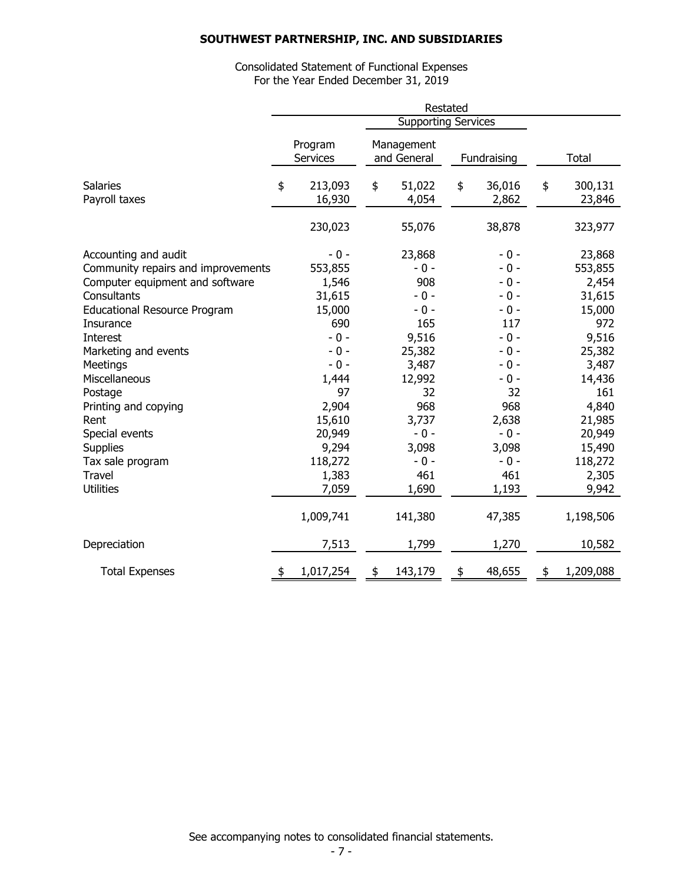Consolidated Statement of Functional Expenses For the Year Ended December 31, 2019

|                                                                                                                                                                                                                                                                                                                                                                     | Restated |                                                                                                                                                                      |    |                                                                                                                                                             |    |                                                                                                                                                                  |                                                                                                                                                                        |
|---------------------------------------------------------------------------------------------------------------------------------------------------------------------------------------------------------------------------------------------------------------------------------------------------------------------------------------------------------------------|----------|----------------------------------------------------------------------------------------------------------------------------------------------------------------------|----|-------------------------------------------------------------------------------------------------------------------------------------------------------------|----|------------------------------------------------------------------------------------------------------------------------------------------------------------------|------------------------------------------------------------------------------------------------------------------------------------------------------------------------|
|                                                                                                                                                                                                                                                                                                                                                                     |          | <b>Supporting Services</b>                                                                                                                                           |    |                                                                                                                                                             |    |                                                                                                                                                                  |                                                                                                                                                                        |
|                                                                                                                                                                                                                                                                                                                                                                     |          | Program<br><b>Services</b>                                                                                                                                           |    | Management<br>and General                                                                                                                                   |    | Fundraising                                                                                                                                                      | Total                                                                                                                                                                  |
| <b>Salaries</b><br>Payroll taxes                                                                                                                                                                                                                                                                                                                                    | \$       | 213,093<br>16,930                                                                                                                                                    | \$ | 51,022<br>4,054                                                                                                                                             | \$ | 36,016<br>2,862                                                                                                                                                  | \$<br>300,131<br>23,846                                                                                                                                                |
|                                                                                                                                                                                                                                                                                                                                                                     |          | 230,023                                                                                                                                                              |    | 55,076                                                                                                                                                      |    | 38,878                                                                                                                                                           | 323,977                                                                                                                                                                |
| Accounting and audit<br>Community repairs and improvements<br>Computer equipment and software<br>Consultants<br><b>Educational Resource Program</b><br>Insurance<br>Interest<br>Marketing and events<br>Meetings<br>Miscellaneous<br>Postage<br>Printing and copying<br>Rent<br>Special events<br><b>Supplies</b><br>Tax sale program<br>Travel<br><b>Utilities</b> |          | $-0 -$<br>553,855<br>1,546<br>31,615<br>15,000<br>690<br>$-0-$<br>$-0 -$<br>$-0 -$<br>1,444<br>97<br>2,904<br>15,610<br>20,949<br>9,294<br>118,272<br>1,383<br>7,059 |    | 23,868<br>$-0 -$<br>908<br>$-0 -$<br>$-0 -$<br>165<br>9,516<br>25,382<br>3,487<br>12,992<br>32<br>968<br>3,737<br>$-0 -$<br>3,098<br>$-0 -$<br>461<br>1,690 |    | $-0 -$<br>$-0 -$<br>$-0 -$<br>$-0 -$<br>$-0 -$<br>117<br>$-0 -$<br>$-0 -$<br>$-0 -$<br>$-0 -$<br>32<br>968<br>2,638<br>$-0 -$<br>3,098<br>$-0 -$<br>461<br>1,193 | 23,868<br>553,855<br>2,454<br>31,615<br>15,000<br>972<br>9,516<br>25,382<br>3,487<br>14,436<br>161<br>4,840<br>21,985<br>20,949<br>15,490<br>118,272<br>2,305<br>9,942 |
| Depreciation                                                                                                                                                                                                                                                                                                                                                        |          | 1,009,741<br>7,513                                                                                                                                                   |    | 141,380<br>1,799                                                                                                                                            |    | 47,385<br>1,270                                                                                                                                                  | 1,198,506<br>10,582                                                                                                                                                    |
| <b>Total Expenses</b>                                                                                                                                                                                                                                                                                                                                               |          | 1,017,254                                                                                                                                                            | \$ | 143,179                                                                                                                                                     | \$ | 48,655                                                                                                                                                           | \$<br>1,209,088                                                                                                                                                        |

See accompanying notes to consolidated financial statements.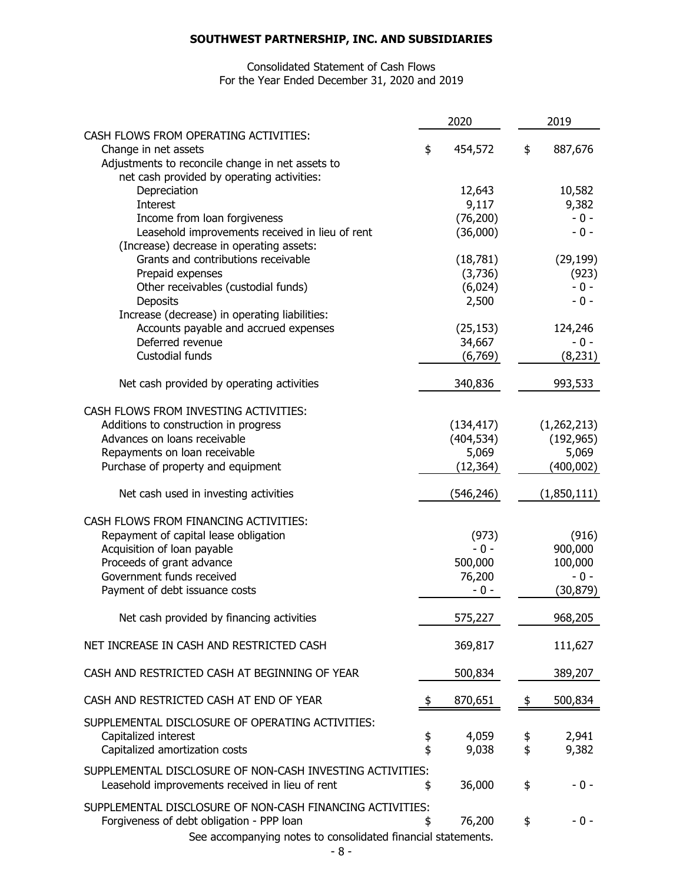## Consolidated Statement of Cash Flows For the Year Ended December 31, 2020 and 2019

|                                                                                 | 2020          |      | 2019               |
|---------------------------------------------------------------------------------|---------------|------|--------------------|
| CASH FLOWS FROM OPERATING ACTIVITIES:                                           |               |      |                    |
| Change in net assets                                                            | \$<br>454,572 | \$   | 887,676            |
| Adjustments to reconcile change in net assets to                                |               |      |                    |
| net cash provided by operating activities:                                      |               |      |                    |
| Depreciation                                                                    | 12,643        |      | 10,582             |
| <b>Interest</b>                                                                 | 9,117         |      | 9,382              |
| Income from loan forgiveness                                                    | (76, 200)     |      | $-0 -$             |
| Leasehold improvements received in lieu of rent                                 | (36,000)      |      | $-0-$              |
| (Increase) decrease in operating assets:<br>Grants and contributions receivable | (18, 781)     |      |                    |
| Prepaid expenses                                                                | (3,736)       |      | (29, 199)<br>(923) |
| Other receivables (custodial funds)                                             | (6,024)       |      | $-0 -$             |
| Deposits                                                                        | 2,500         |      | $-0-$              |
| Increase (decrease) in operating liabilities:                                   |               |      |                    |
| Accounts payable and accrued expenses                                           | (25, 153)     |      | 124,246            |
| Deferred revenue                                                                | 34,667        |      | $-0 -$             |
| Custodial funds                                                                 | (6,769)       |      | (8, 231)           |
|                                                                                 |               |      |                    |
| Net cash provided by operating activities                                       | 340,836       |      | 993,533            |
| CASH FLOWS FROM INVESTING ACTIVITIES:                                           |               |      |                    |
| Additions to construction in progress                                           | (134, 417)    |      | (1, 262, 213)      |
| Advances on loans receivable                                                    | (404, 534)    |      | (192, 965)         |
| Repayments on loan receivable                                                   | 5,069         |      | 5,069              |
| Purchase of property and equipment                                              | (12, 364)     |      | (400, 002)         |
| Net cash used in investing activities                                           | (546, 246)    |      | (1,850,111)        |
| CASH FLOWS FROM FINANCING ACTIVITIES:                                           |               |      |                    |
| Repayment of capital lease obligation                                           | (973)         |      | (916)              |
| Acquisition of loan payable                                                     | $-0 -$        |      | 900,000            |
| Proceeds of grant advance                                                       | 500,000       |      | 100,000            |
| Government funds received                                                       | 76,200        |      | $-0-$              |
| Payment of debt issuance costs                                                  | $-0 -$        |      | (30, 879)          |
| Net cash provided by financing activities                                       | 575,227       |      | 968,205            |
| NET INCREASE IN CASH AND RESTRICTED CASH                                        | 369,817       |      | 111,627            |
| CASH AND RESTRICTED CASH AT BEGINNING OF YEAR                                   | 500,834       |      | 389,207            |
| CASH AND RESTRICTED CASH AT END OF YEAR                                         | \$<br>870,651 | - \$ | 500,834            |
|                                                                                 |               |      |                    |
| SUPPLEMENTAL DISCLOSURE OF OPERATING ACTIVITIES:                                |               |      |                    |
| Capitalized interest                                                            | \$<br>4,059   | \$   | 2,941              |
| Capitalized amortization costs                                                  | \$<br>9,038   | \$   | 9,382              |
| SUPPLEMENTAL DISCLOSURE OF NON-CASH INVESTING ACTIVITIES:                       |               |      |                    |
| Leasehold improvements received in lieu of rent                                 | \$<br>36,000  | \$   | $-0 -$             |
| SUPPLEMENTAL DISCLOSURE OF NON-CASH FINANCING ACTIVITIES:                       |               |      |                    |
| Forgiveness of debt obligation - PPP loan                                       | \$<br>76,200  | \$   | $-0 -$             |
| See accompanying notes to consolidated financial statements.                    |               |      |                    |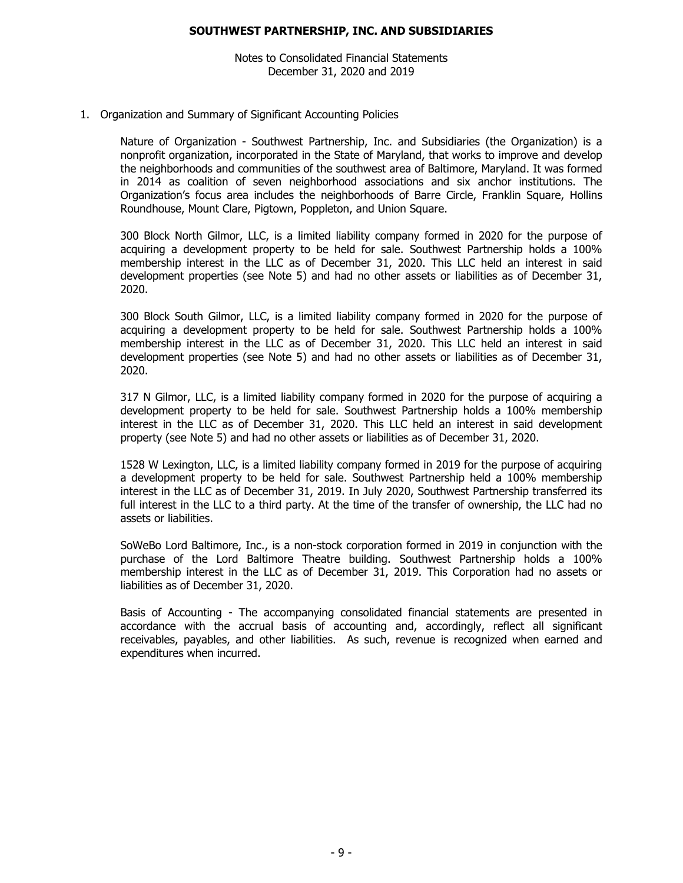Notes to Consolidated Financial Statements December 31, 2020 and 2019

#### 1. Organization and Summary of Significant Accounting Policies

Nature of Organization - Southwest Partnership, Inc. and Subsidiaries (the Organization) is a nonprofit organization, incorporated in the State of Maryland, that works to improve and develop the neighborhoods and communities of the southwest area of Baltimore, Maryland. It was formed in 2014 as coalition of seven neighborhood associations and six anchor institutions. The Organization's focus area includes the neighborhoods of Barre Circle, Franklin Square, Hollins Roundhouse, Mount Clare, Pigtown, Poppleton, and Union Square.

300 Block North Gilmor, LLC, is a limited liability company formed in 2020 for the purpose of acquiring a development property to be held for sale. Southwest Partnership holds a 100% membership interest in the LLC as of December 31, 2020. This LLC held an interest in said development properties (see Note 5) and had no other assets or liabilities as of December 31, 2020.

300 Block South Gilmor, LLC, is a limited liability company formed in 2020 for the purpose of acquiring a development property to be held for sale. Southwest Partnership holds a 100% membership interest in the LLC as of December 31, 2020. This LLC held an interest in said development properties (see Note 5) and had no other assets or liabilities as of December 31, 2020.

317 N Gilmor, LLC, is a limited liability company formed in 2020 for the purpose of acquiring a development property to be held for sale. Southwest Partnership holds a 100% membership interest in the LLC as of December 31, 2020. This LLC held an interest in said development property (see Note 5) and had no other assets or liabilities as of December 31, 2020.

1528 W Lexington, LLC, is a limited liability company formed in 2019 for the purpose of acquiring a development property to be held for sale. Southwest Partnership held a 100% membership interest in the LLC as of December 31, 2019. In July 2020, Southwest Partnership transferred its full interest in the LLC to a third party. At the time of the transfer of ownership, the LLC had no assets or liabilities.

SoWeBo Lord Baltimore, Inc., is a non-stock corporation formed in 2019 in conjunction with the purchase of the Lord Baltimore Theatre building. Southwest Partnership holds a 100% membership interest in the LLC as of December 31, 2019. This Corporation had no assets or liabilities as of December 31, 2020.

Basis of Accounting - The accompanying consolidated financial statements are presented in accordance with the accrual basis of accounting and, accordingly, reflect all significant receivables, payables, and other liabilities. As such, revenue is recognized when earned and expenditures when incurred.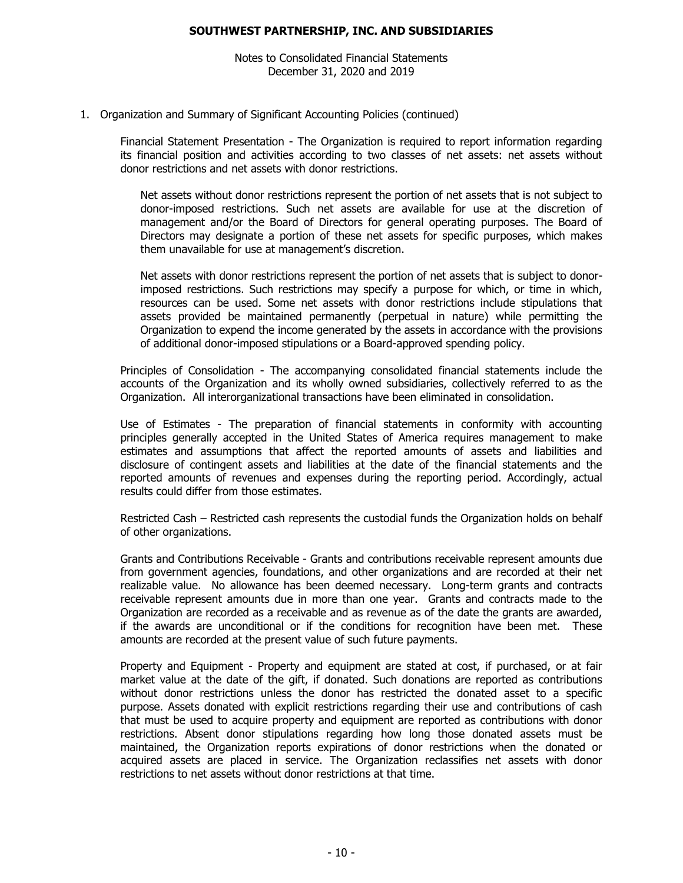Notes to Consolidated Financial Statements December 31, 2020 and 2019

#### 1. Organization and Summary of Significant Accounting Policies (continued)

Financial Statement Presentation - The Organization is required to report information regarding its financial position and activities according to two classes of net assets: net assets without donor restrictions and net assets with donor restrictions.

Net assets without donor restrictions represent the portion of net assets that is not subject to donor-imposed restrictions. Such net assets are available for use at the discretion of management and/or the Board of Directors for general operating purposes. The Board of Directors may designate a portion of these net assets for specific purposes, which makes them unavailable for use at management's discretion.

Net assets with donor restrictions represent the portion of net assets that is subject to donorimposed restrictions. Such restrictions may specify a purpose for which, or time in which, resources can be used. Some net assets with donor restrictions include stipulations that assets provided be maintained permanently (perpetual in nature) while permitting the Organization to expend the income generated by the assets in accordance with the provisions of additional donor-imposed stipulations or a Board-approved spending policy.

Principles of Consolidation - The accompanying consolidated financial statements include the accounts of the Organization and its wholly owned subsidiaries, collectively referred to as the Organization. All interorganizational transactions have been eliminated in consolidation.

Use of Estimates - The preparation of financial statements in conformity with accounting principles generally accepted in the United States of America requires management to make estimates and assumptions that affect the reported amounts of assets and liabilities and disclosure of contingent assets and liabilities at the date of the financial statements and the reported amounts of revenues and expenses during the reporting period. Accordingly, actual results could differ from those estimates.

Restricted Cash – Restricted cash represents the custodial funds the Organization holds on behalf of other organizations.

Grants and Contributions Receivable - Grants and contributions receivable represent amounts due from government agencies, foundations, and other organizations and are recorded at their net realizable value. No allowance has been deemed necessary. Long-term grants and contracts receivable represent amounts due in more than one year. Grants and contracts made to the Organization are recorded as a receivable and as revenue as of the date the grants are awarded, if the awards are unconditional or if the conditions for recognition have been met. These amounts are recorded at the present value of such future payments.

Property and Equipment - Property and equipment are stated at cost, if purchased, or at fair market value at the date of the gift, if donated. Such donations are reported as contributions without donor restrictions unless the donor has restricted the donated asset to a specific purpose. Assets donated with explicit restrictions regarding their use and contributions of cash that must be used to acquire property and equipment are reported as contributions with donor restrictions. Absent donor stipulations regarding how long those donated assets must be maintained, the Organization reports expirations of donor restrictions when the donated or acquired assets are placed in service. The Organization reclassifies net assets with donor restrictions to net assets without donor restrictions at that time.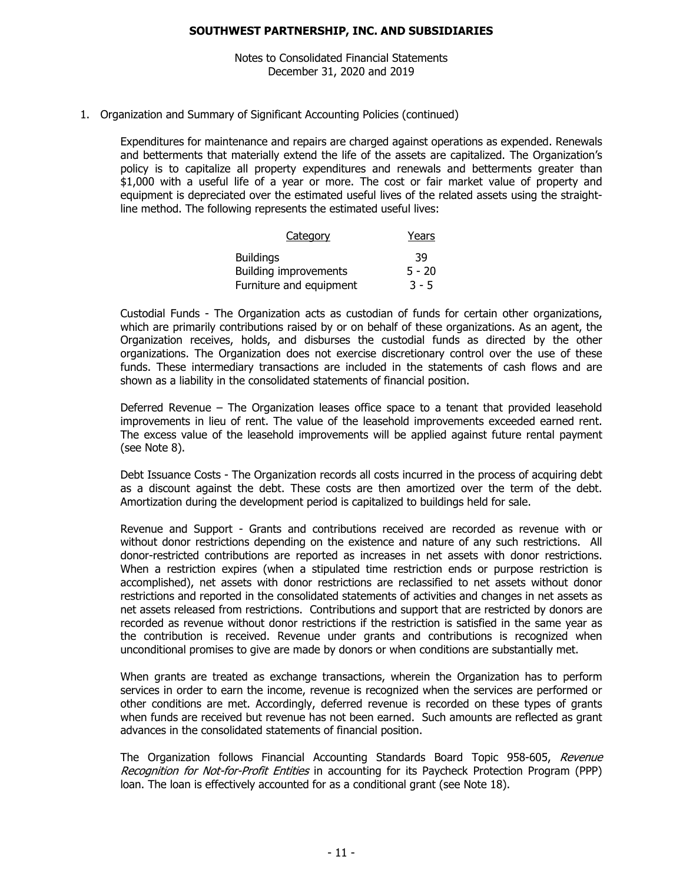Notes to Consolidated Financial Statements December 31, 2020 and 2019

## 1. Organization and Summary of Significant Accounting Policies (continued)

Expenditures for maintenance and repairs are charged against operations as expended. Renewals and betterments that materially extend the life of the assets are capitalized. The Organization's policy is to capitalize all property expenditures and renewals and betterments greater than \$1,000 with a useful life of a year or more. The cost or fair market value of property and equipment is depreciated over the estimated useful lives of the related assets using the straightline method. The following represents the estimated useful lives:

| Category                     | Years    |
|------------------------------|----------|
| <b>Buildings</b>             | 39       |
| <b>Building improvements</b> | $5 - 20$ |
| Furniture and equipment      | $3 - 5$  |

Custodial Funds - The Organization acts as custodian of funds for certain other organizations, which are primarily contributions raised by or on behalf of these organizations. As an agent, the Organization receives, holds, and disburses the custodial funds as directed by the other organizations. The Organization does not exercise discretionary control over the use of these funds. These intermediary transactions are included in the statements of cash flows and are shown as a liability in the consolidated statements of financial position.

Deferred Revenue – The Organization leases office space to a tenant that provided leasehold improvements in lieu of rent. The value of the leasehold improvements exceeded earned rent. The excess value of the leasehold improvements will be applied against future rental payment (see Note 8).

Debt Issuance Costs - The Organization records all costs incurred in the process of acquiring debt as a discount against the debt. These costs are then amortized over the term of the debt. Amortization during the development period is capitalized to buildings held for sale.

Revenue and Support - Grants and contributions received are recorded as revenue with or without donor restrictions depending on the existence and nature of any such restrictions. All donor-restricted contributions are reported as increases in net assets with donor restrictions. When a restriction expires (when a stipulated time restriction ends or purpose restriction is accomplished), net assets with donor restrictions are reclassified to net assets without donor restrictions and reported in the consolidated statements of activities and changes in net assets as net assets released from restrictions. Contributions and support that are restricted by donors are recorded as revenue without donor restrictions if the restriction is satisfied in the same year as the contribution is received. Revenue under grants and contributions is recognized when unconditional promises to give are made by donors or when conditions are substantially met.

When grants are treated as exchange transactions, wherein the Organization has to perform services in order to earn the income, revenue is recognized when the services are performed or other conditions are met. Accordingly, deferred revenue is recorded on these types of grants when funds are received but revenue has not been earned. Such amounts are reflected as grant advances in the consolidated statements of financial position.

The Organization follows Financial Accounting Standards Board Topic 958-605, Revenue Recognition for Not-for-Profit Entities in accounting for its Paycheck Protection Program (PPP) loan. The loan is effectively accounted for as a conditional grant (see Note 18).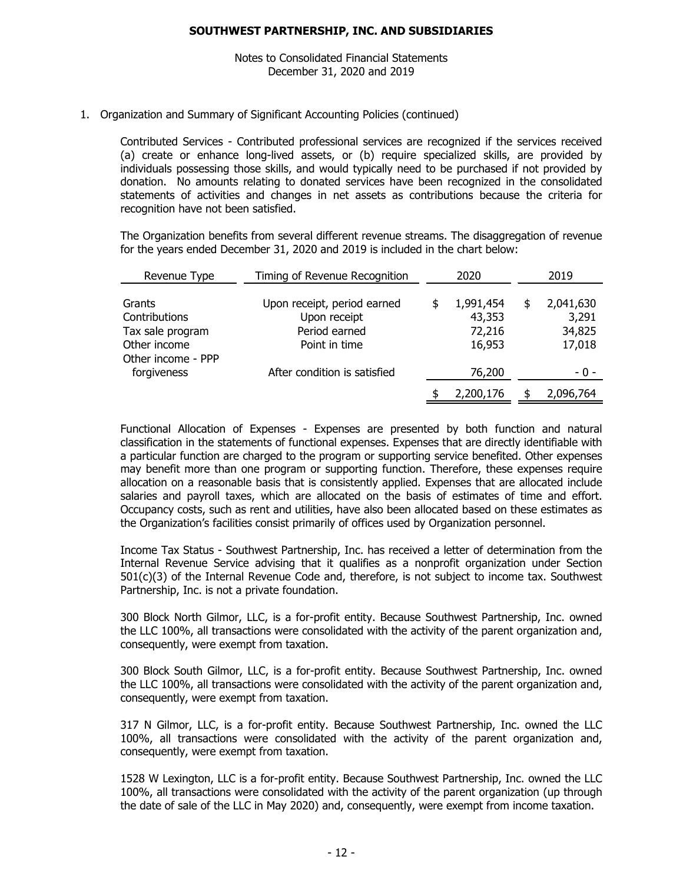Notes to Consolidated Financial Statements December 31, 2020 and 2019

## 1. Organization and Summary of Significant Accounting Policies (continued)

Contributed Services - Contributed professional services are recognized if the services received (a) create or enhance long-lived assets, or (b) require specialized skills, are provided by individuals possessing those skills, and would typically need to be purchased if not provided by donation. No amounts relating to donated services have been recognized in the consolidated statements of activities and changes in net assets as contributions because the criteria for recognition have not been satisfied.

The Organization benefits from several different revenue streams. The disaggregation of revenue for the years ended December 31, 2020 and 2019 is included in the chart below:

| Revenue Type                      | Timing of Revenue Recognition               | 2020 |                     |  |                    | 2019 |
|-----------------------------------|---------------------------------------------|------|---------------------|--|--------------------|------|
| Grants<br>Contributions           | Upon receipt, period earned<br>Upon receipt |      | 1,991,454<br>43,353 |  | 2,041,630<br>3,291 |      |
| Tax sale program<br>Other income  | Period earned<br>Point in time              |      | 72,216<br>16,953    |  | 34,825<br>17,018   |      |
| Other income - PPP<br>forgiveness | After condition is satisfied                |      | 76,200              |  | - 0 -              |      |
|                                   |                                             |      | 2,200,176           |  | 2,096,764          |      |

Functional Allocation of Expenses - Expenses are presented by both function and natural classification in the statements of functional expenses. Expenses that are directly identifiable with a particular function are charged to the program or supporting service benefited. Other expenses may benefit more than one program or supporting function. Therefore, these expenses require allocation on a reasonable basis that is consistently applied. Expenses that are allocated include salaries and payroll taxes, which are allocated on the basis of estimates of time and effort. Occupancy costs, such as rent and utilities, have also been allocated based on these estimates as the Organization's facilities consist primarily of offices used by Organization personnel.

Income Tax Status - Southwest Partnership, Inc. has received a letter of determination from the Internal Revenue Service advising that it qualifies as a nonprofit organization under Section 501(c)(3) of the Internal Revenue Code and, therefore, is not subject to income tax. Southwest Partnership, Inc. is not a private foundation.

300 Block North Gilmor, LLC, is a for-profit entity. Because Southwest Partnership, Inc. owned the LLC 100%, all transactions were consolidated with the activity of the parent organization and, consequently, were exempt from taxation.

300 Block South Gilmor, LLC, is a for-profit entity. Because Southwest Partnership, Inc. owned the LLC 100%, all transactions were consolidated with the activity of the parent organization and, consequently, were exempt from taxation.

317 N Gilmor, LLC, is a for-profit entity. Because Southwest Partnership, Inc. owned the LLC 100%, all transactions were consolidated with the activity of the parent organization and, consequently, were exempt from taxation.

1528 W Lexington, LLC is a for-profit entity. Because Southwest Partnership, Inc. owned the LLC 100%, all transactions were consolidated with the activity of the parent organization (up through the date of sale of the LLC in May 2020) and, consequently, were exempt from income taxation.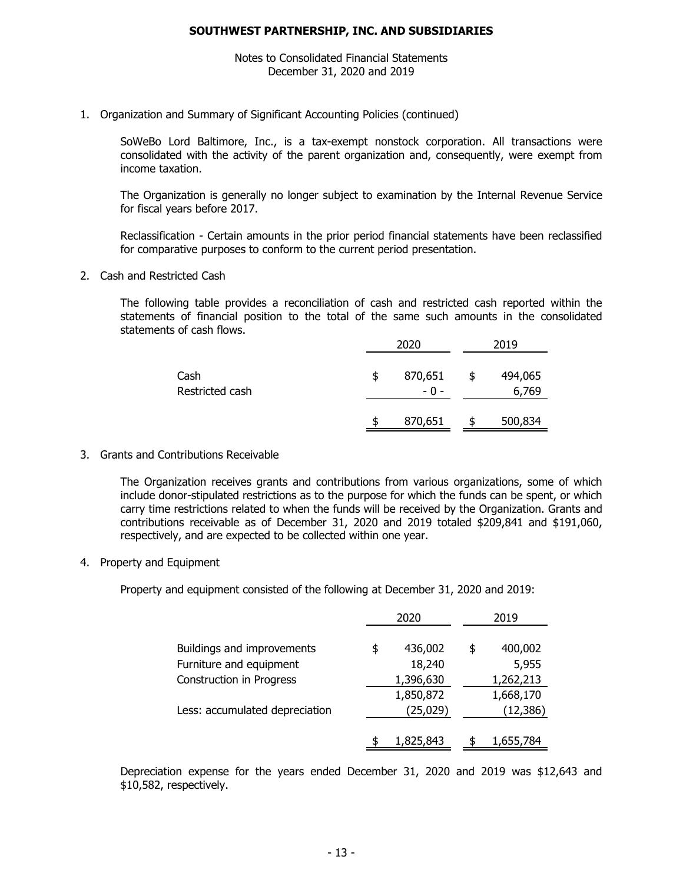Notes to Consolidated Financial Statements December 31, 2020 and 2019

1. Organization and Summary of Significant Accounting Policies (continued)

SoWeBo Lord Baltimore, Inc., is a tax-exempt nonstock corporation. All transactions were consolidated with the activity of the parent organization and, consequently, were exempt from income taxation.

The Organization is generally no longer subject to examination by the Internal Revenue Service for fiscal years before 2017.

Reclassification - Certain amounts in the prior period financial statements have been reclassified for comparative purposes to conform to the current period presentation.

2. Cash and Restricted Cash

The following table provides a reconciliation of cash and restricted cash reported within the statements of financial position to the total of the same such amounts in the consolidated statements of cash flows.

|                         | 2020                   |    | 2019             |
|-------------------------|------------------------|----|------------------|
| Cash<br>Restricted cash | \$<br>870,651<br>$-0-$ | \$ | 494,065<br>6,769 |
|                         | 870,651                | S  | 500,834          |

3. Grants and Contributions Receivable

The Organization receives grants and contributions from various organizations, some of which include donor-stipulated restrictions as to the purpose for which the funds can be spent, or which carry time restrictions related to when the funds will be received by the Organization. Grants and contributions receivable as of December 31, 2020 and 2019 totaled \$209,841 and \$191,060, respectively, and are expected to be collected within one year.

4. Property and Equipment

Property and equipment consisted of the following at December 31, 2020 and 2019:

|                                 | 2020          | 2019          |
|---------------------------------|---------------|---------------|
| Buildings and improvements      | 436,002<br>\$ | 400,002<br>\$ |
| Furniture and equipment         | 18,240        | 5,955         |
| <b>Construction in Progress</b> | 1,396,630     | 1,262,213     |
|                                 | 1,850,872     | 1,668,170     |
| Less: accumulated depreciation  | (25, 029)     | (12,386)      |
|                                 |               |               |
|                                 | 1,825,843     | 1,655,784     |

Depreciation expense for the years ended December 31, 2020 and 2019 was \$12,643 and \$10,582, respectively.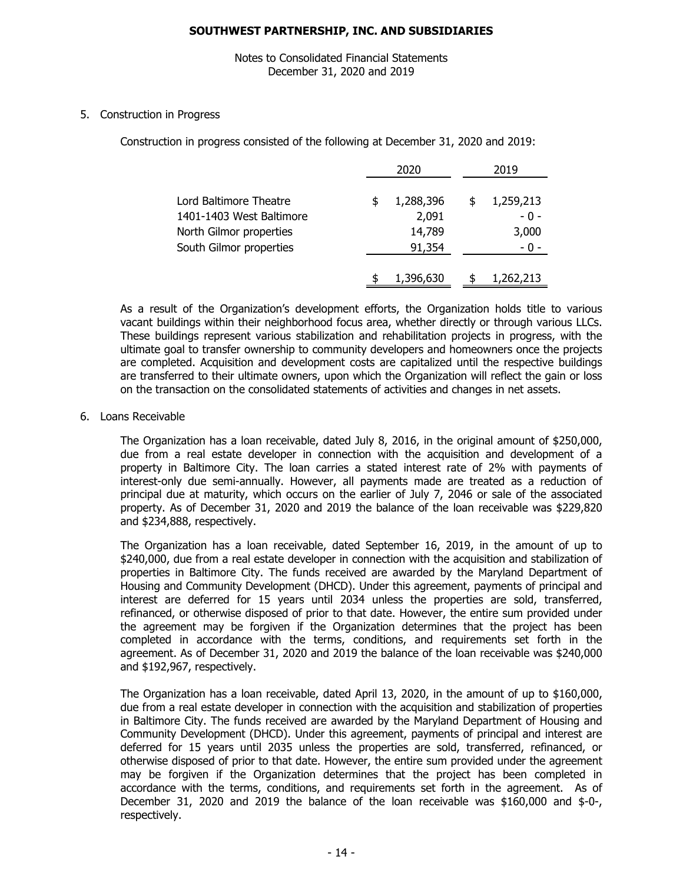Notes to Consolidated Financial Statements December 31, 2020 and 2019

5. Construction in Progress

Construction in progress consisted of the following at December 31, 2020 and 2019:

|                          | 2020            | 2019 |           |  |
|--------------------------|-----------------|------|-----------|--|
| Lord Baltimore Theatre   | \$<br>1,288,396 | S    | 1,259,213 |  |
| 1401-1403 West Baltimore | 2,091           |      | $-0-$     |  |
| North Gilmor properties  | 14,789          |      | 3,000     |  |
| South Gilmor properties  | 91,354          |      | $-0 -$    |  |
|                          | 1,396,630       |      | 1,262,213 |  |

As a result of the Organization's development efforts, the Organization holds title to various vacant buildings within their neighborhood focus area, whether directly or through various LLCs. These buildings represent various stabilization and rehabilitation projects in progress, with the ultimate goal to transfer ownership to community developers and homeowners once the projects are completed. Acquisition and development costs are capitalized until the respective buildings are transferred to their ultimate owners, upon which the Organization will reflect the gain or loss on the transaction on the consolidated statements of activities and changes in net assets.

6. Loans Receivable

The Organization has a loan receivable, dated July 8, 2016, in the original amount of \$250,000, due from a real estate developer in connection with the acquisition and development of a property in Baltimore City. The loan carries a stated interest rate of 2% with payments of interest-only due semi-annually. However, all payments made are treated as a reduction of principal due at maturity, which occurs on the earlier of July 7, 2046 or sale of the associated property. As of December 31, 2020 and 2019 the balance of the loan receivable was \$229,820 and \$234,888, respectively.

The Organization has a loan receivable, dated September 16, 2019, in the amount of up to \$240,000, due from a real estate developer in connection with the acquisition and stabilization of properties in Baltimore City. The funds received are awarded by the Maryland Department of Housing and Community Development (DHCD). Under this agreement, payments of principal and interest are deferred for 15 years until 2034 unless the properties are sold, transferred, refinanced, or otherwise disposed of prior to that date. However, the entire sum provided under the agreement may be forgiven if the Organization determines that the project has been completed in accordance with the terms, conditions, and requirements set forth in the agreement. As of December 31, 2020 and 2019 the balance of the loan receivable was \$240,000 and \$192,967, respectively.

The Organization has a loan receivable, dated April 13, 2020, in the amount of up to \$160,000, due from a real estate developer in connection with the acquisition and stabilization of properties in Baltimore City. The funds received are awarded by the Maryland Department of Housing and Community Development (DHCD). Under this agreement, payments of principal and interest are deferred for 15 years until 2035 unless the properties are sold, transferred, refinanced, or otherwise disposed of prior to that date. However, the entire sum provided under the agreement may be forgiven if the Organization determines that the project has been completed in accordance with the terms, conditions, and requirements set forth in the agreement. As of December 31, 2020 and 2019 the balance of the loan receivable was \$160,000 and \$-0-, respectively.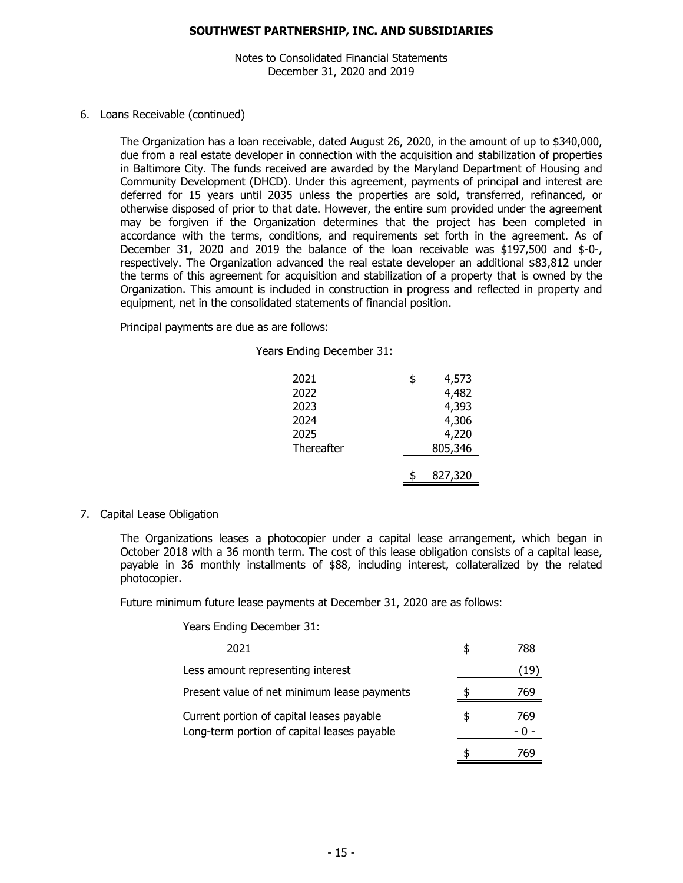Notes to Consolidated Financial Statements December 31, 2020 and 2019

#### 6. Loans Receivable (continued)

The Organization has a loan receivable, dated August 26, 2020, in the amount of up to \$340,000, due from a real estate developer in connection with the acquisition and stabilization of properties in Baltimore City. The funds received are awarded by the Maryland Department of Housing and Community Development (DHCD). Under this agreement, payments of principal and interest are deferred for 15 years until 2035 unless the properties are sold, transferred, refinanced, or otherwise disposed of prior to that date. However, the entire sum provided under the agreement may be forgiven if the Organization determines that the project has been completed in accordance with the terms, conditions, and requirements set forth in the agreement. As of December 31, 2020 and 2019 the balance of the loan receivable was \$197,500 and \$-0-, respectively. The Organization advanced the real estate developer an additional \$83,812 under the terms of this agreement for acquisition and stabilization of a property that is owned by the Organization. This amount is included in construction in progress and reflected in property and equipment, net in the consolidated statements of financial position.

Principal payments are due as are follows:

| 2021       | \$<br>4,573 |
|------------|-------------|
| 2022       | 4,482       |
| 2023       | 4,393       |
| 2024       | 4,306       |
| 2025       | 4,220       |
| Thereafter | 805,346     |
|            |             |
|            | 827,320     |

7. Capital Lease Obligation

The Organizations leases a photocopier under a capital lease arrangement, which began in October 2018 with a 36 month term. The cost of this lease obligation consists of a capital lease, payable in 36 monthly installments of \$88, including interest, collateralized by the related photocopier.

Future minimum future lease payments at December 31, 2020 are as follows:

Years Ending December 31:

| 2021                                                                                     |    | 788 |
|------------------------------------------------------------------------------------------|----|-----|
| Less amount representing interest                                                        |    | 19  |
| Present value of net minimum lease payments                                              |    | 769 |
| Current portion of capital leases payable<br>Long-term portion of capital leases payable | Æ, | 769 |
|                                                                                          |    |     |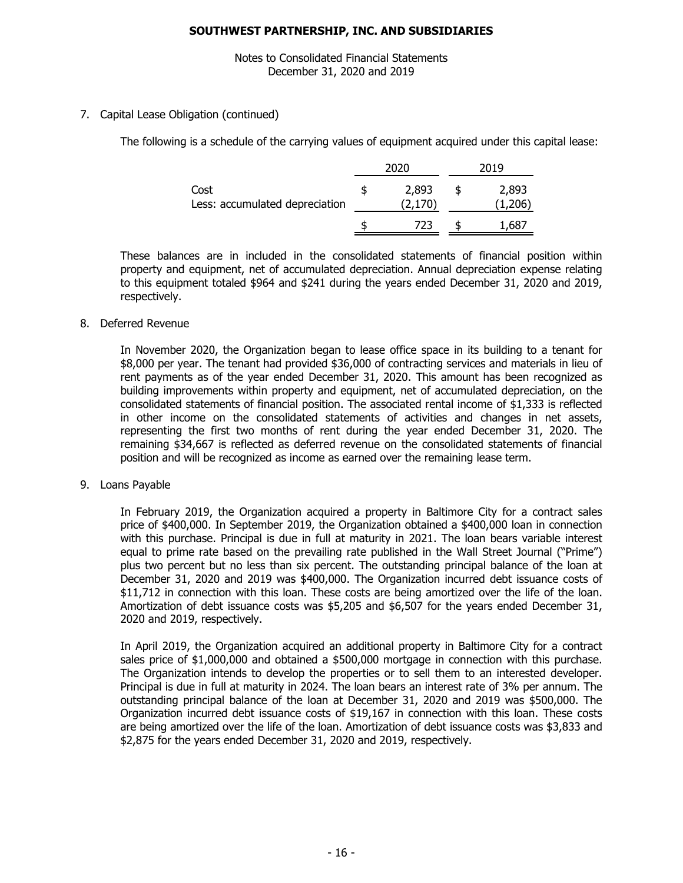Notes to Consolidated Financial Statements December 31, 2020 and 2019

7. Capital Lease Obligation (continued)

The following is a schedule of the carrying values of equipment acquired under this capital lease:

|                                        | 2020 |                  | 2019            |
|----------------------------------------|------|------------------|-----------------|
| Cost<br>Less: accumulated depreciation |      | 2,893<br>(2,170) | 2,893<br>1,206) |
|                                        |      | 723              | ,687            |

These balances are in included in the consolidated statements of financial position within property and equipment, net of accumulated depreciation. Annual depreciation expense relating to this equipment totaled \$964 and \$241 during the years ended December 31, 2020 and 2019, respectively.

8. Deferred Revenue

In November 2020, the Organization began to lease office space in its building to a tenant for \$8,000 per year. The tenant had provided \$36,000 of contracting services and materials in lieu of rent payments as of the year ended December 31, 2020. This amount has been recognized as building improvements within property and equipment, net of accumulated depreciation, on the consolidated statements of financial position. The associated rental income of \$1,333 is reflected in other income on the consolidated statements of activities and changes in net assets, representing the first two months of rent during the year ended December 31, 2020. The remaining \$34,667 is reflected as deferred revenue on the consolidated statements of financial position and will be recognized as income as earned over the remaining lease term.

9. Loans Payable

In February 2019, the Organization acquired a property in Baltimore City for a contract sales price of \$400,000. In September 2019, the Organization obtained a \$400,000 loan in connection with this purchase. Principal is due in full at maturity in 2021. The loan bears variable interest equal to prime rate based on the prevailing rate published in the Wall Street Journal ("Prime") plus two percent but no less than six percent. The outstanding principal balance of the loan at December 31, 2020 and 2019 was \$400,000. The Organization incurred debt issuance costs of \$11,712 in connection with this loan. These costs are being amortized over the life of the loan. Amortization of debt issuance costs was \$5,205 and \$6,507 for the years ended December 31, 2020 and 2019, respectively.

In April 2019, the Organization acquired an additional property in Baltimore City for a contract sales price of \$1,000,000 and obtained a \$500,000 mortgage in connection with this purchase. The Organization intends to develop the properties or to sell them to an interested developer. Principal is due in full at maturity in 2024. The loan bears an interest rate of 3% per annum. The outstanding principal balance of the loan at December 31, 2020 and 2019 was \$500,000. The Organization incurred debt issuance costs of \$19,167 in connection with this loan. These costs are being amortized over the life of the loan. Amortization of debt issuance costs was \$3,833 and \$2,875 for the years ended December 31, 2020 and 2019, respectively.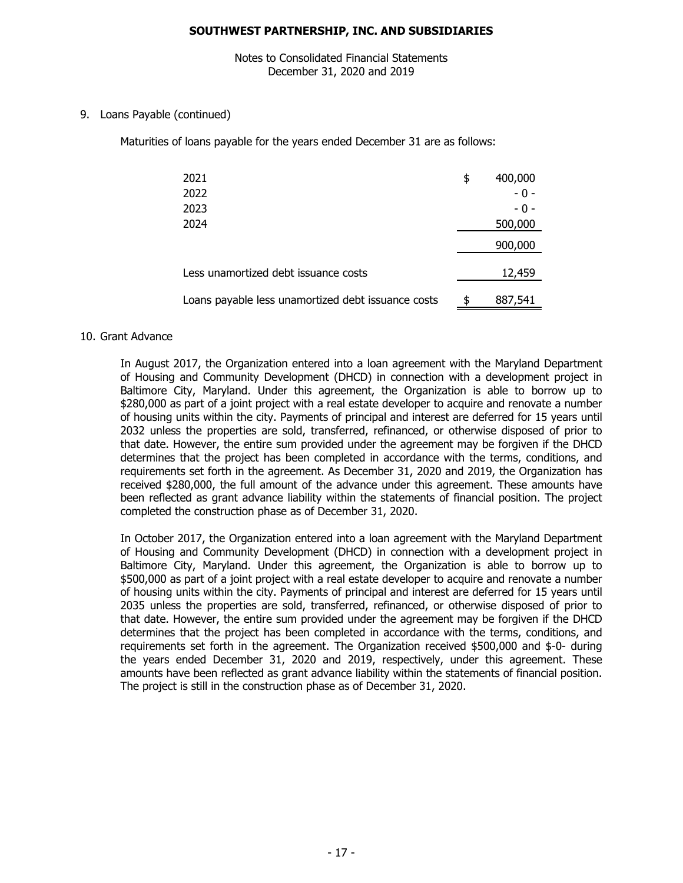Notes to Consolidated Financial Statements December 31, 2020 and 2019

### 9. Loans Payable (continued)

Maturities of loans payable for the years ended December 31 are as follows:

| 2021                                               | \$<br>400,000 |
|----------------------------------------------------|---------------|
| 2022                                               | $-0-$         |
| 2023                                               | - 0 -         |
| 2024                                               | 500,000       |
|                                                    | 900,000       |
| Less unamortized debt issuance costs               | 12,459        |
| Loans payable less unamortized debt issuance costs | \$<br>887,541 |

#### 10. Grant Advance

In August 2017, the Organization entered into a loan agreement with the Maryland Department of Housing and Community Development (DHCD) in connection with a development project in Baltimore City, Maryland. Under this agreement, the Organization is able to borrow up to \$280,000 as part of a joint project with a real estate developer to acquire and renovate a number of housing units within the city. Payments of principal and interest are deferred for 15 years until 2032 unless the properties are sold, transferred, refinanced, or otherwise disposed of prior to that date. However, the entire sum provided under the agreement may be forgiven if the DHCD determines that the project has been completed in accordance with the terms, conditions, and requirements set forth in the agreement. As December 31, 2020 and 2019, the Organization has received \$280,000, the full amount of the advance under this agreement. These amounts have been reflected as grant advance liability within the statements of financial position. The project completed the construction phase as of December 31, 2020.

In October 2017, the Organization entered into a loan agreement with the Maryland Department of Housing and Community Development (DHCD) in connection with a development project in Baltimore City, Maryland. Under this agreement, the Organization is able to borrow up to \$500,000 as part of a joint project with a real estate developer to acquire and renovate a number of housing units within the city. Payments of principal and interest are deferred for 15 years until 2035 unless the properties are sold, transferred, refinanced, or otherwise disposed of prior to that date. However, the entire sum provided under the agreement may be forgiven if the DHCD determines that the project has been completed in accordance with the terms, conditions, and requirements set forth in the agreement. The Organization received \$500,000 and \$-0- during the years ended December 31, 2020 and 2019, respectively, under this agreement. These amounts have been reflected as grant advance liability within the statements of financial position. The project is still in the construction phase as of December 31, 2020.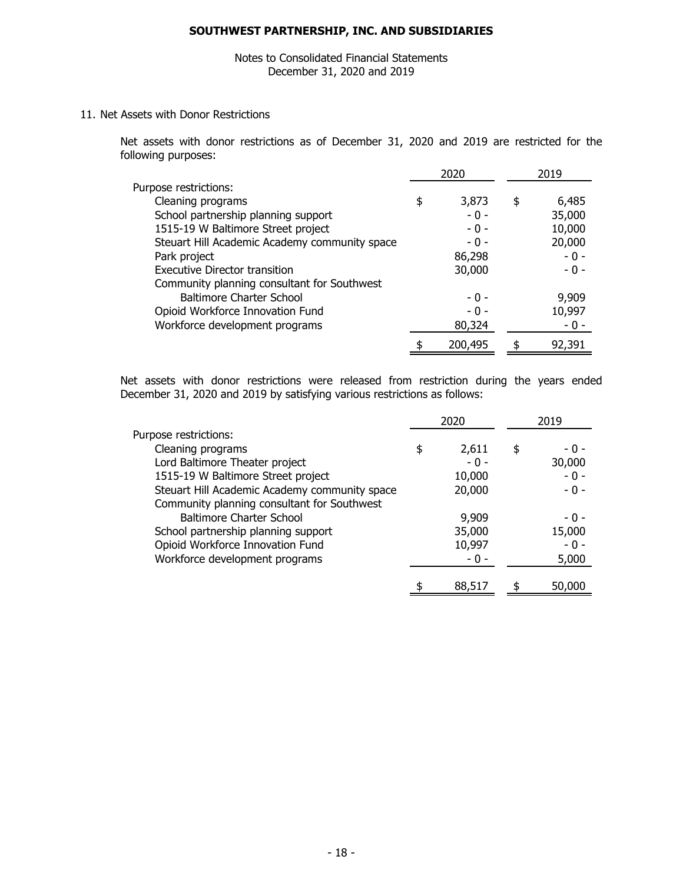## Notes to Consolidated Financial Statements December 31, 2020 and 2019

11. Net Assets with Donor Restrictions

Net assets with donor restrictions as of December 31, 2020 and 2019 are restricted for the following purposes:

|                                               | 2020          | 2019         |
|-----------------------------------------------|---------------|--------------|
| Purpose restrictions:                         |               |              |
| Cleaning programs                             | \$<br>3,873   | \$<br>6,485  |
| School partnership planning support           | $-0 -$        | 35,000       |
| 1515-19 W Baltimore Street project            | $-0-$         | 10,000       |
| Steuart Hill Academic Academy community space | $-0-$         | 20,000       |
| Park project                                  | 86,298        | $-0 -$       |
| <b>Executive Director transition</b>          | 30,000        | $-0 -$       |
| Community planning consultant for Southwest   |               |              |
| <b>Baltimore Charter School</b>               | $-0-$         | 9,909        |
| Opioid Workforce Innovation Fund              | $-0-$         | 10,997       |
| Workforce development programs                | 80,324        | - 0 -        |
|                                               | \$<br>200,495 | \$<br>92,391 |

Net assets with donor restrictions were released from restriction during the years ended December 31, 2020 and 2019 by satisfying various restrictions as follows:

|                                               | 2020         | 2019        |
|-----------------------------------------------|--------------|-------------|
| Purpose restrictions:                         |              |             |
| Cleaning programs                             | \$<br>2,611  | \$<br>- 0 - |
| Lord Baltimore Theater project                | $-0-$        | 30,000      |
| 1515-19 W Baltimore Street project            | 10,000       | $-0 -$      |
| Steuart Hill Academic Academy community space | 20,000       | $-0 -$      |
| Community planning consultant for Southwest   |              |             |
| Baltimore Charter School                      | 9,909        | - 0 -       |
| School partnership planning support           | 35,000       | 15,000      |
| Opioid Workforce Innovation Fund              | 10,997       | - 0 -       |
| Workforce development programs                | - 0 -        | 5,000       |
|                                               |              |             |
|                                               | \$<br>88,517 | 50,000      |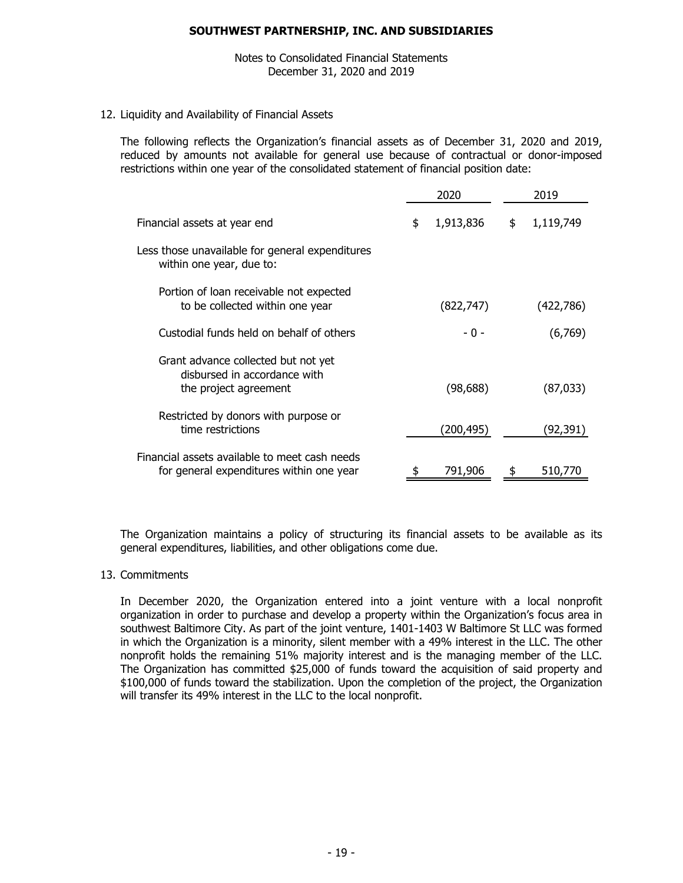Notes to Consolidated Financial Statements December 31, 2020 and 2019

12. Liquidity and Availability of Financial Assets

The following reflects the Organization's financial assets as of December 31, 2020 and 2019, reduced by amounts not available for general use because of contractual or donor-imposed restrictions within one year of the consolidated statement of financial position date:

|                                                                                              | 2020 |            | 2019 |           |
|----------------------------------------------------------------------------------------------|------|------------|------|-----------|
| Financial assets at year end                                                                 | \$   | 1,913,836  | \$   | 1,119,749 |
| Less those unavailable for general expenditures<br>within one year, due to:                  |      |            |      |           |
| Portion of loan receivable not expected<br>to be collected within one year                   |      | (822, 747) |      | (422,786) |
| Custodial funds held on behalf of others                                                     |      | - 0 -      |      | (6,769)   |
| Grant advance collected but not yet<br>disbursed in accordance with<br>the project agreement |      | (98, 688)  |      | (87,033)  |
| Restricted by donors with purpose or<br>time restrictions                                    |      | (200, 495) |      | (92, 391) |
| Financial assets available to meet cash needs<br>for general expenditures within one year    |      | 791,906    |      | 510,770   |

The Organization maintains a policy of structuring its financial assets to be available as its general expenditures, liabilities, and other obligations come due.

#### 13. Commitments

In December 2020, the Organization entered into a joint venture with a local nonprofit organization in order to purchase and develop a property within the Organization's focus area in southwest Baltimore City. As part of the joint venture, 1401-1403 W Baltimore St LLC was formed in which the Organization is a minority, silent member with a 49% interest in the LLC. The other nonprofit holds the remaining 51% majority interest and is the managing member of the LLC. The Organization has committed \$25,000 of funds toward the acquisition of said property and \$100,000 of funds toward the stabilization. Upon the completion of the project, the Organization will transfer its 49% interest in the LLC to the local nonprofit.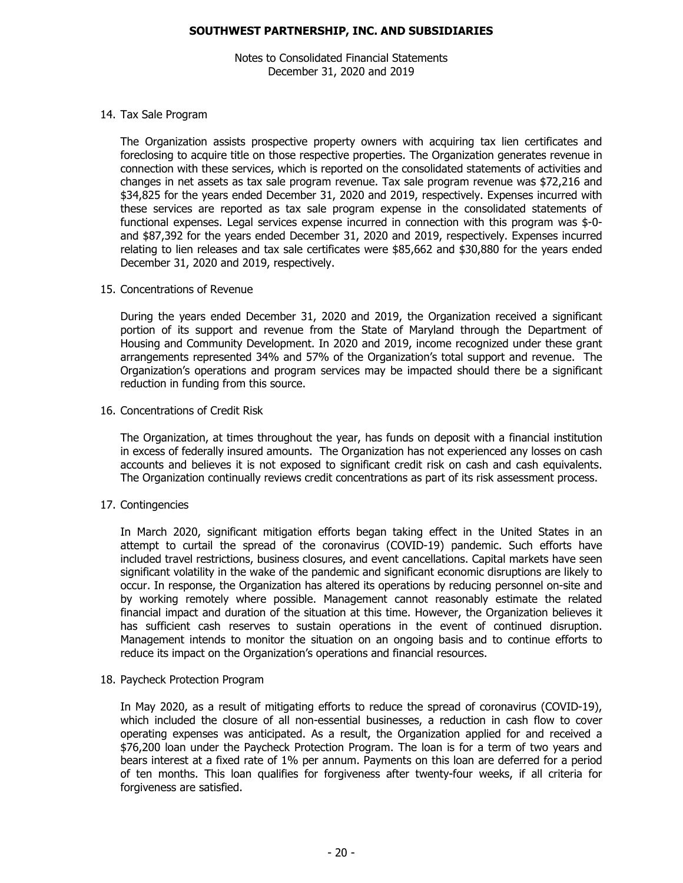Notes to Consolidated Financial Statements December 31, 2020 and 2019

#### 14. Tax Sale Program

The Organization assists prospective property owners with acquiring tax lien certificates and foreclosing to acquire title on those respective properties. The Organization generates revenue in connection with these services, which is reported on the consolidated statements of activities and changes in net assets as tax sale program revenue. Tax sale program revenue was \$72,216 and \$34,825 for the years ended December 31, 2020 and 2019, respectively. Expenses incurred with these services are reported as tax sale program expense in the consolidated statements of functional expenses. Legal services expense incurred in connection with this program was \$-0 and \$87,392 for the years ended December 31, 2020 and 2019, respectively. Expenses incurred relating to lien releases and tax sale certificates were \$85,662 and \$30,880 for the years ended December 31, 2020 and 2019, respectively.

#### 15. Concentrations of Revenue

During the years ended December 31, 2020 and 2019, the Organization received a significant portion of its support and revenue from the State of Maryland through the Department of Housing and Community Development. In 2020 and 2019, income recognized under these grant arrangements represented 34% and 57% of the Organization's total support and revenue. The Organization's operations and program services may be impacted should there be a significant reduction in funding from this source.

### 16. Concentrations of Credit Risk

The Organization, at times throughout the year, has funds on deposit with a financial institution in excess of federally insured amounts. The Organization has not experienced any losses on cash accounts and believes it is not exposed to significant credit risk on cash and cash equivalents. The Organization continually reviews credit concentrations as part of its risk assessment process.

## 17. Contingencies

In March 2020, significant mitigation efforts began taking effect in the United States in an attempt to curtail the spread of the coronavirus (COVID-19) pandemic. Such efforts have included travel restrictions, business closures, and event cancellations. Capital markets have seen significant volatility in the wake of the pandemic and significant economic disruptions are likely to occur. In response, the Organization has altered its operations by reducing personnel on-site and by working remotely where possible. Management cannot reasonably estimate the related financial impact and duration of the situation at this time. However, the Organization believes it has sufficient cash reserves to sustain operations in the event of continued disruption. Management intends to monitor the situation on an ongoing basis and to continue efforts to reduce its impact on the Organization's operations and financial resources.

#### 18. Paycheck Protection Program

In May 2020, as a result of mitigating efforts to reduce the spread of coronavirus (COVID-19), which included the closure of all non-essential businesses, a reduction in cash flow to cover operating expenses was anticipated. As a result, the Organization applied for and received a \$76,200 loan under the Paycheck Protection Program. The loan is for a term of two years and bears interest at a fixed rate of 1% per annum. Payments on this loan are deferred for a period of ten months. This loan qualifies for forgiveness after twenty-four weeks, if all criteria for forgiveness are satisfied.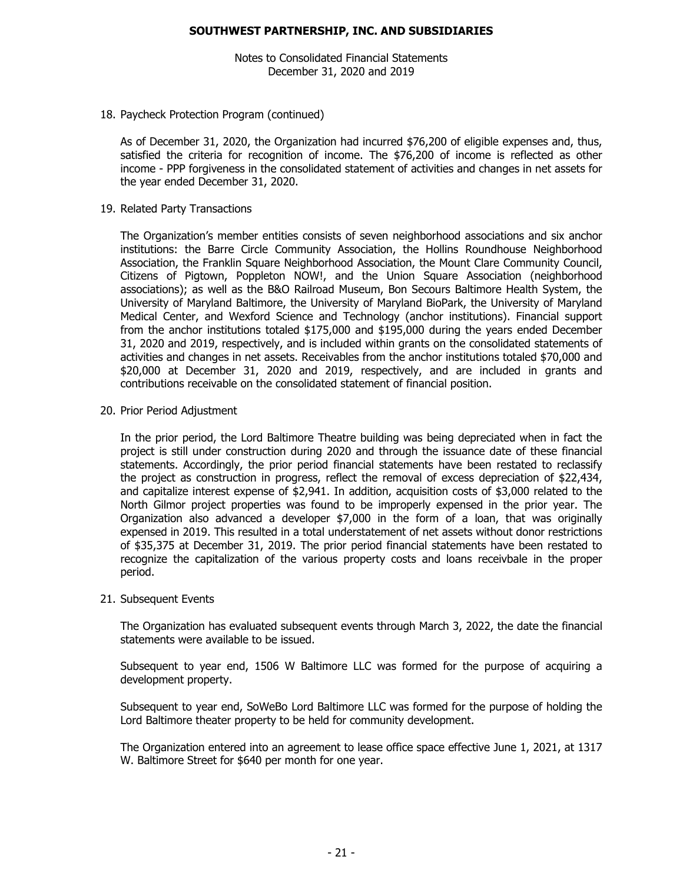Notes to Consolidated Financial Statements December 31, 2020 and 2019

#### 18. Paycheck Protection Program (continued)

As of December 31, 2020, the Organization had incurred \$76,200 of eligible expenses and, thus, satisfied the criteria for recognition of income. The \$76,200 of income is reflected as other income - PPP forgiveness in the consolidated statement of activities and changes in net assets for the year ended December 31, 2020.

#### 19. Related Party Transactions

The Organization's member entities consists of seven neighborhood associations and six anchor institutions: the Barre Circle Community Association, the Hollins Roundhouse Neighborhood Association, the Franklin Square Neighborhood Association, the Mount Clare Community Council, Citizens of Pigtown, Poppleton NOW!, and the Union Square Association (neighborhood associations); as well as the B&O Railroad Museum, Bon Secours Baltimore Health System, the University of Maryland Baltimore, the University of Maryland BioPark, the University of Maryland Medical Center, and Wexford Science and Technology (anchor institutions). Financial support from the anchor institutions totaled \$175,000 and \$195,000 during the years ended December 31, 2020 and 2019, respectively, and is included within grants on the consolidated statements of activities and changes in net assets. Receivables from the anchor institutions totaled \$70,000 and \$20,000 at December 31, 2020 and 2019, respectively, and are included in grants and contributions receivable on the consolidated statement of financial position.

#### 20. Prior Period Adjustment

In the prior period, the Lord Baltimore Theatre building was being depreciated when in fact the project is still under construction during 2020 and through the issuance date of these financial statements. Accordingly, the prior period financial statements have been restated to reclassify the project as construction in progress, reflect the removal of excess depreciation of \$22,434, and capitalize interest expense of \$2,941. In addition, acquisition costs of \$3,000 related to the North Gilmor project properties was found to be improperly expensed in the prior year. The Organization also advanced a developer \$7,000 in the form of a loan, that was originally expensed in 2019. This resulted in a total understatement of net assets without donor restrictions of \$35,375 at December 31, 2019. The prior period financial statements have been restated to recognize the capitalization of the various property costs and loans receivbale in the proper period.

#### 21. Subsequent Events

The Organization has evaluated subsequent events through March 3, 2022, the date the financial statements were available to be issued.

Subsequent to year end, 1506 W Baltimore LLC was formed for the purpose of acquiring a development property.

Subsequent to year end, SoWeBo Lord Baltimore LLC was formed for the purpose of holding the Lord Baltimore theater property to be held for community development.

The Organization entered into an agreement to lease office space effective June 1, 2021, at 1317 W. Baltimore Street for \$640 per month for one year.